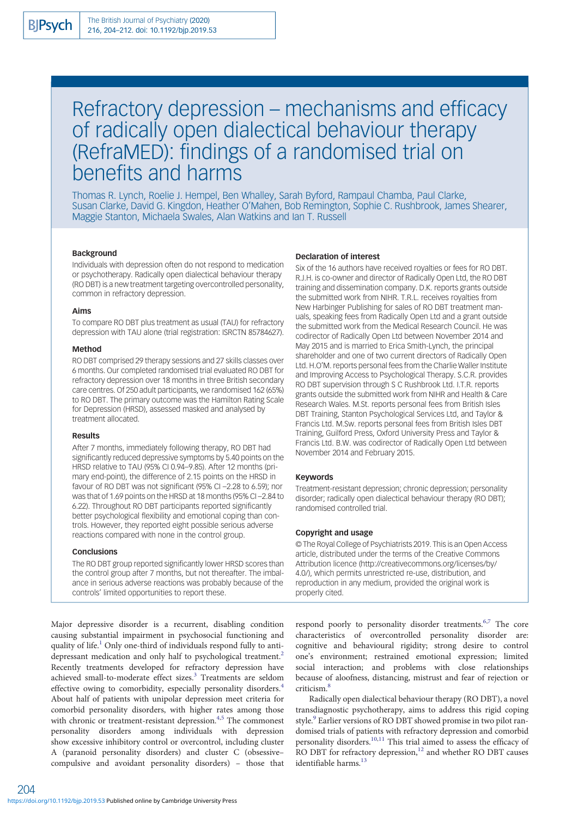# Refractory depression – mechanisms and efficacy of radically open dialectical behaviour therapy (RefraMED): findings of a randomised trial on benefits and harms

Thomas R. Lynch, Roelie J. Hempel, Ben Whalley, Sarah Byford, Rampaul Chamba, Paul Clarke, Susan Clarke, David G. Kingdon, Heather O'Mahen, Bob Remington, Sophie C. Rushbrook, James Shearer, Maggie Stanton, Michaela Swales, Alan Watkins and Ian T. Russell

# Background

Individuals with depression often do not respond to medication or psychotherapy. Radically open dialectical behaviour therapy (RO DBT) is a new treatment targeting overcontrolled personality, common in refractory depression.

## Aims

To compare RO DBT plus treatment as usual (TAU) for refractory depression with TAU alone (trial registration: ISRCTN 85784627).

## Method

RO DBT comprised 29 therapy sessions and 27 skills classes over 6 months. Our completed randomised trial evaluated RO DBT for refractory depression over 18 months in three British secondary care centres. Of 250 adult participants, we randomised 162 (65%) to RO DBT. The primary outcome was the Hamilton Rating Scale for Depression (HRSD), assessed masked and analysed by treatment allocated.

## Results

After 7 months, immediately following therapy, RO DBT had significantly reduced depressive symptoms by 5.40 points on the HRSD relative to TAU (95% CI 0.94–9.85). After 12 months (primary end-point), the difference of 2.15 points on the HRSD in favour of RO DBT was not significant (95% CI –2.28 to 6.59); nor was that of 1.69 points on the HRSD at 18 months (95% CI –2.84 to 6.22). Throughout RO DBT participants reported significantly better psychological flexibility and emotional coping than controls. However, they reported eight possible serious adverse reactions compared with none in the control group.

## Conclusions

The RO DBT group reported significantly lower HRSD scores than the control group after 7 months, but not thereafter. The imbalance in serious adverse reactions was probably because of the controls' limited opportunities to report these.

Major depressive disorder is a recurrent, disabling condition causing substantial impairment in psychosocial functioning and quality of life. $<sup>1</sup>$  $<sup>1</sup>$  $<sup>1</sup>$  Only one-third of individuals respond fully to anti-</sup> depressant medication and only half to psychological treatment.<sup>[2](#page-7-0)</sup> Recently treatments developed for refractory depression have achieved small-to-moderate effect sizes.<sup>[3](#page-7-0)</sup> Treatments are seldom effective owing to comorbidity, especially personality disorders.<sup>[4](#page-7-0)</sup> About half of patients with unipolar depression meet criteria for comorbid personality disorders, with higher rates among those with chronic or treatment-resistant depression.<sup>[4](#page-7-0),[5](#page-7-0)</sup> The commonest personality disorders among individuals with depression show excessive inhibitory control or overcontrol, including cluster A (paranoid personality disorders) and cluster C (obsessive– compulsive and avoidant personality disorders) – those that

#### Declaration of interest

Six of the 16 authors have received royalties or fees for RO DBT. R.J.H. is co-owner and director of Radically Open Ltd, the RO DBT training and dissemination company. D.K. reports grants outside the submitted work from NIHR. T.R.L. receives royalties from New Harbinger Publishing for sales of RO DBT treatment manuals, speaking fees from Radically Open Ltd and a grant outside the submitted work from the Medical Research Council. He was codirector of Radically Open Ltd between November 2014 and May 2015 and is married to Erica Smith-Lynch, the principal shareholder and one of two current directors of Radically Open Ltd. H.O'M. reports personal fees from the Charlie Waller Institute and Improving Access to Psychological Therapy. S.C.R. provides RO DBT supervision through S C Rushbrook Ltd. I.T.R. reports grants outside the submitted work from NIHR and Health & Care Research Wales. M.St. reports personal fees from British Isles DBT Training, Stanton Psychological Services Ltd, and Taylor & Francis Ltd. M.Sw. reports personal fees from British Isles DBT Training, Guilford Press, Oxford University Press and Taylor & Francis Ltd. B.W. was codirector of Radically Open Ltd between November 2014 and February 2015.

#### Keywords

Treatment-resistant depression; chronic depression; personality disorder; radically open dialectical behaviour therapy (RO DBT); randomised controlled trial.

#### Copyright and usage

© The Royal College of Psychiatrists 2019. This is an Open Access article, distributed under the terms of the Creative Commons Attribution licence (http://creativecommons.org/licenses/by/ 4.0/), which permits unrestricted re-use, distribution, and reproduction in any medium, provided the original work is properly cited.

respond poorly to personality disorder treatments.<sup>[6,7](#page-7-0)</sup> The core characteristics of overcontrolled personality disorder are: cognitive and behavioural rigidity; strong desire to control one's environment; restrained emotional expression; limited social interaction; and problems with close relationships because of aloofness, distancing, mistrust and fear of rejection or criticism.[8](#page-7-0)

Radically open dialectical behaviour therapy (RO DBT), a novel transdiagnostic psychotherapy, aims to address this rigid coping style.<sup>[9](#page-7-0)</sup> Earlier versions of RO DBT showed promise in two pilot randomised trials of patients with refractory depression and comorbid personality disorders.<sup>[10,11](#page-7-0)</sup> This trial aimed to assess the efficacy of RO DBT for refractory depression, $12$  and whether RO DBT causes identifiable harms.<sup>[13](#page-7-0)</sup>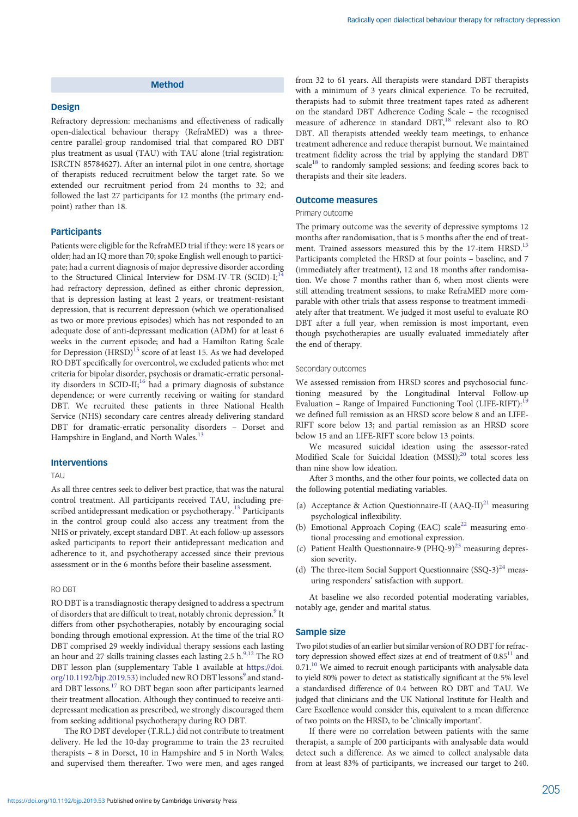# Method

#### Design

Refractory depression: mechanisms and effectiveness of radically open-dialectical behaviour therapy (RefraMED) was a threecentre parallel-group randomised trial that compared RO DBT plus treatment as usual (TAU) with TAU alone (trial registration: ISRCTN 85784627). After an internal pilot in one centre, shortage of therapists reduced recruitment below the target rate. So we extended our recruitment period from 24 months to 32; and followed the last 27 participants for 12 months (the primary endpoint) rather than 18.

#### **Participants**

Patients were eligible for the RefraMED trial if they: were 18 years or older; had an IQ more than 70; spoke English well enough to participate; had a current diagnosis of major depressive disorder according to the Structured Clinical Interview for DSM-IV-TR  $(SCID)$ -I;<sup>1</sup> had refractory depression, defined as either chronic depression, that is depression lasting at least 2 years, or treatment-resistant depression, that is recurrent depression (which we operationalised as two or more previous episodes) which has not responded to an adequate dose of anti-depressant medication (ADM) for at least 6 weeks in the current episode; and had a Hamilton Rating Scale for Depression (HRSD)<sup>15</sup> score of at least 15. As we had developed RO DBT specifically for overcontrol, we excluded patients who: met criteria for bipolar disorder, psychosis or dramatic-erratic personality disorders in SCID-II; $^{16}$  $^{16}$  $^{16}$  had a primary diagnosis of substance dependence; or were currently receiving or waiting for standard DBT. We recruited these patients in three National Health Service (NHS) secondary care centres already delivering standard DBT for dramatic-erratic personality disorders – Dorset and Hampshire in England, and North Wales.<sup>[13](#page-7-0)</sup>

## Interventions

#### **TAU**

As all three centres seek to deliver best practice, that was the natural control treatment. All participants received TAU, including prescribed antidepressant medication or psychotherapy.<sup>13</sup> Participants in the control group could also access any treatment from the NHS or privately, except standard DBT. At each follow-up assessors asked participants to report their antidepressant medication and adherence to it, and psychotherapy accessed since their previous assessment or in the 6 months before their baseline assessment.

#### RO DBT

RO DBT is a transdiagnostic therapy designed to address a spectrum of disorders that are difficult to treat, notably chronic depression.<sup>[9](#page-7-0)</sup> It differs from other psychotherapies, notably by encouraging social bonding through emotional expression. At the time of the trial RO DBT comprised 29 weekly individual therapy sessions each lasting an hour and 27 skills training classes each lasting  $2.5 h<sup>9,12</sup>$  The RO DBT lesson plan (supplementary Table 1 available at [https://doi.](https://doi.org/10.1192/bjp.2019.53)  $\text{org}/10.1192/\text{b}$ jp.2019.53) included new RO DBT lessons $^9$  and standard DBT lessons.[17](#page-7-0) RO DBT began soon after participants learned their treatment allocation. Although they continued to receive antidepressant medication as prescribed, we strongly discouraged them from seeking additional psychotherapy during RO DBT.

The RO DBT developer (T.R.L.) did not contribute to treatment delivery. He led the 10-day programme to train the 23 recruited therapists – 8 in Dorset, 10 in Hampshire and 5 in North Wales; and supervised them thereafter. Two were men, and ages ranged

from 32 to 61 years. All therapists were standard DBT therapists with a minimum of 3 years clinical experience. To be recruited, therapists had to submit three treatment tapes rated as adherent on the standard DBT Adherence Coding Scale – the recognised measure of adherence in standard  $DBT$ ,<sup>[18](#page-7-0)</sup> relevant also to RO DBT. All therapists attended weekly team meetings, to enhance treatment adherence and reduce therapist burnout. We maintained treatment fidelity across the trial by applying the standard DBT  $scale<sup>18</sup>$  $scale<sup>18</sup>$  $scale<sup>18</sup>$  to randomly sampled sessions; and feeding scores back to therapists and their site leaders.

#### Outcome measures

#### Primary outcome

The primary outcome was the severity of depressive symptoms 12 months after randomisation, that is 5 months after the end of treat-ment. Trained assessors measured this by the 17-item HRSD.<sup>[15](#page-7-0)</sup> Participants completed the HRSD at four points – baseline, and 7 (immediately after treatment), 12 and 18 months after randomisation. We chose 7 months rather than 6, when most clients were still attending treatment sessions, to make RefraMED more comparable with other trials that assess response to treatment immediately after that treatment. We judged it most useful to evaluate RO DBT after a full year, when remission is most important, even though psychotherapies are usually evaluated immediately after the end of therapy.

#### Secondary outcomes

We assessed remission from HRSD scores and psychosocial functioning measured by the Longitudinal Interval Follow-up Evaluation – Range of Impaired Functioning Tool (LIFE-RIFT):<sup>[19](#page-7-0)</sup> we defined full remission as an HRSD score below 8 and an LIFE-RIFT score below 13; and partial remission as an HRSD score below 15 and an LIFE-RIFT score below 13 points.

We measured suicidal ideation using the assessor-rated Modified Scale for Suicidal Ideation  $(MSSI);^{20}$  $(MSSI);^{20}$  $(MSSI);^{20}$  total scores less than nine show low ideation.

After 3 months, and the other four points, we collected data on the following potential mediating variables.

- (a) Acceptance & Action Questionnaire-II  $(AAO-II)^{21}$  $(AAO-II)^{21}$  $(AAO-II)^{21}$  measuring psychological inflexibility.
- (b) Emotional Approach Coping (EAC) scale<sup>[22](#page-7-0)</sup> measuring emotional processing and emotional expression.
- (c) Patient Health Questionnaire-9  $(PHQ-9)^{23}$  $(PHQ-9)^{23}$  $(PHQ-9)^{23}$  measuring depression severity.
- (d) The three-item Social Support Questionnaire  $(SSQ-3)^{24}$  measuring responders' satisfaction with support.

At baseline we also recorded potential moderating variables, notably age, gender and marital status.

#### Sample size

Two pilot studies of an earlier but similar version of RO DBT for refractory depression showed effect sizes at end of treatment of  $0.85<sup>11</sup>$  and  $0.71<sup>10</sup>$  $0.71<sup>10</sup>$  $0.71<sup>10</sup>$  We aimed to recruit enough participants with analysable data to yield 80% power to detect as statistically significant at the 5% level a standardised difference of 0.4 between RO DBT and TAU. We judged that clinicians and the UK National Institute for Health and Care Excellence would consider this, equivalent to a mean difference of two points on the HRSD, to be 'clinically important'.

If there were no correlation between patients with the same therapist, a sample of 200 participants with analysable data would detect such a difference. As we aimed to collect analysable data from at least 83% of participants, we increased our target to 240.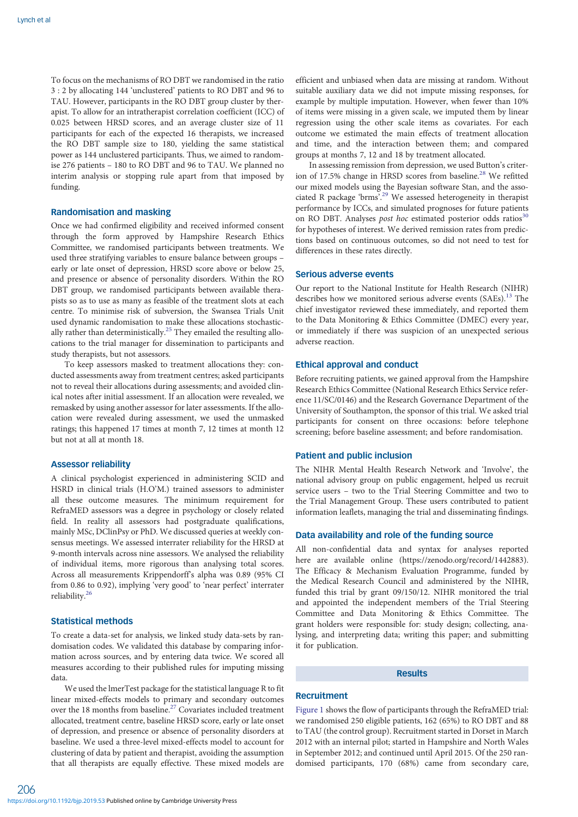To focus on the mechanisms of RO DBT we randomised in the ratio 3 : 2 by allocating 144 'unclustered' patients to RO DBT and 96 to TAU. However, participants in the RO DBT group cluster by therapist. To allow for an intratherapist correlation coefficient (ICC) of 0.025 between HRSD scores, and an average cluster size of 11 participants for each of the expected 16 therapists, we increased the RO DBT sample size to 180, yielding the same statistical power as 144 unclustered participants. Thus, we aimed to randomise 276 patients – 180 to RO DBT and 96 to TAU. We planned no interim analysis or stopping rule apart from that imposed by funding.

## Randomisation and masking

Once we had confirmed eligibility and received informed consent through the form approved by Hampshire Research Ethics Committee, we randomised participants between treatments. We used three stratifying variables to ensure balance between groups – early or late onset of depression, HRSD score above or below 25, and presence or absence of personality disorders. Within the RO DBT group, we randomised participants between available therapists so as to use as many as feasible of the treatment slots at each centre. To minimise risk of subversion, the Swansea Trials Unit used dynamic randomisation to make these allocations stochastic-ally rather than deterministically.<sup>[25](#page-7-0)</sup> They emailed the resulting allocations to the trial manager for dissemination to participants and study therapists, but not assessors.

To keep assessors masked to treatment allocations they: conducted assessments away from treatment centres; asked participants not to reveal their allocations during assessments; and avoided clinical notes after initial assessment. If an allocation were revealed, we remasked by using another assessor for later assessments. If the allocation were revealed during assessment, we used the unmasked ratings; this happened 17 times at month 7, 12 times at month 12 but not at all at month 18.

#### Assessor reliability

A clinical psychologist experienced in administering SCID and HSRD in clinical trials (H.O'M.) trained assessors to administer all these outcome measures. The minimum requirement for RefraMED assessors was a degree in psychology or closely related field. In reality all assessors had postgraduate qualifications, mainly MSc, DClinPsy or PhD. We discussed queries at weekly consensus meetings. We assessed interrater reliability for the HRSD at 9-month intervals across nine assessors. We analysed the reliability of individual items, more rigorous than analysing total scores. Across all measurements Krippendorff's alpha was 0.89 (95% CI from 0.86 to 0.92), implying 'very good' to 'near perfect' interrater reliability[.26](#page-7-0)

## Statistical methods

To create a data-set for analysis, we linked study data-sets by randomisation codes. We validated this database by comparing information across sources, and by entering data twice. We scored all measures according to their published rules for imputing missing data.

We used the lmerTest package for the statistical language R to fit linear mixed-effects models to primary and secondary outcomes over the 18 months from baseline.<sup>27</sup> Covariates included treatment allocated, treatment centre, baseline HRSD score, early or late onset of depression, and presence or absence of personality disorders at baseline. We used a three-level mixed-effects model to account for clustering of data by patient and therapist, avoiding the assumption that all therapists are equally effective. These mixed models are

efficient and unbiased when data are missing at random. Without suitable auxiliary data we did not impute missing responses, for example by multiple imputation. However, when fewer than 10% of items were missing in a given scale, we imputed them by linear regression using the other scale items as covariates. For each outcome we estimated the main effects of treatment allocation and time, and the interaction between them; and compared groups at months 7, 12 and 18 by treatment allocated.

In assessing remission from depression, we used Button's criter-ion of 17.5% change in HRSD scores from baseline.<sup>[28](#page-8-0)</sup> We refitted our mixed models using the Bayesian software Stan, and the associated R package 'brms'. [29](#page-8-0) We assessed heterogeneity in therapist performance by ICCs, and simulated prognoses for future patients on RO DBT. Analyses *post hoc* estimated posterior odds ratios<sup>[30](#page-8-0)</sup> for hypotheses of interest. We derived remission rates from predictions based on continuous outcomes, so did not need to test for differences in these rates directly.

## Serious adverse events

Our report to the National Institute for Health Research (NIHR) describes how we monitored serious adverse events (SAEs).<sup>[13](#page-7-0)</sup> The chief investigator reviewed these immediately, and reported them to the Data Monitoring & Ethics Committee (DMEC) every year, or immediately if there was suspicion of an unexpected serious adverse reaction.

# Ethical approval and conduct

Before recruiting patients, we gained approval from the Hampshire Research Ethics Committee (National Research Ethics Service reference 11/SC/0146) and the Research Governance Department of the University of Southampton, the sponsor of this trial. We asked trial participants for consent on three occasions: before telephone screening; before baseline assessment; and before randomisation.

## Patient and public inclusion

The NIHR Mental Health Research Network and 'Involve', the national advisory group on public engagement, helped us recruit service users – two to the Trial Steering Committee and two to the Trial Management Group. These users contributed to patient information leaflets, managing the trial and disseminating findings.

## Data availability and role of the funding source

All non-confidential data and syntax for analyses reported here are available online (https://zenodo.org/record/1442883). The Efficacy & Mechanism Evaluation Programme, funded by the Medical Research Council and administered by the NIHR, funded this trial by grant 09/150/12. NIHR monitored the trial and appointed the independent members of the Trial Steering Committee and Data Monitoring & Ethics Committee. The grant holders were responsible for: study design; collecting, analysing, and interpreting data; writing this paper; and submitting it for publication.

# Results

# **Recruitment**

[Figure 1](#page-3-0) shows the flow of participants through the RefraMED trial: we randomised 250 eligible patients, 162 (65%) to RO DBT and 88 to TAU (the control group). Recruitment started in Dorset in March 2012 with an internal pilot; started in Hampshire and North Wales in September 2012; and continued until April 2015. Of the 250 randomised participants, 170 (68%) came from secondary care,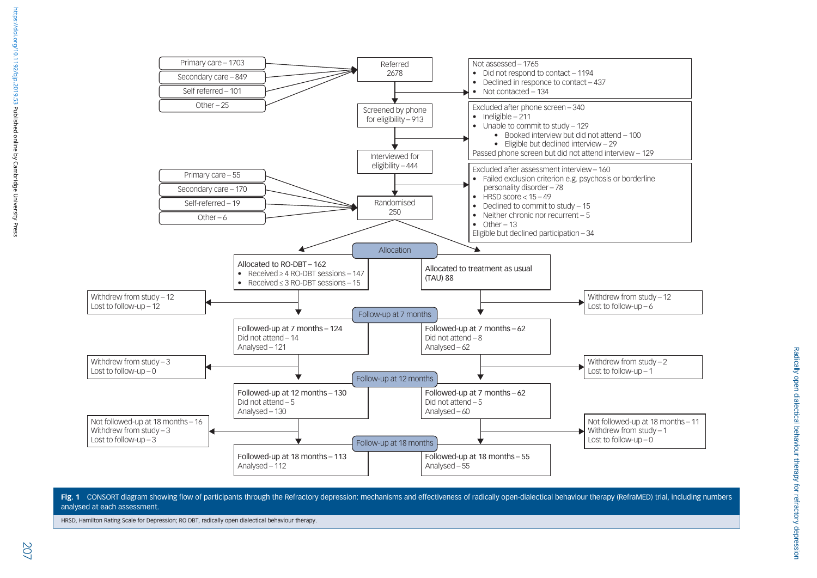<span id="page-3-0"></span>

Fig. 1 CONSORT diagram showing flow of participants through the Refractory depression: mechanisms and effectiveness of radically open-dialectical behaviour therapy (RefraMED) trial, including numbers analysed at each assessment.

HRSD, Hamilton Rating Scale for Depression; RO DBT, radically open dialectical behaviour therapy.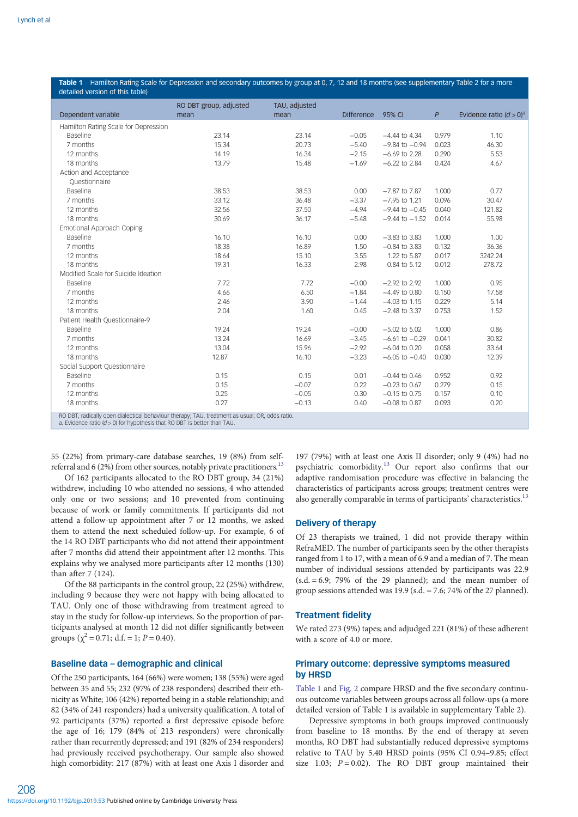| detailed version of this table)                                                                                                                                              |                        |               |                   |                    |              |                            |
|------------------------------------------------------------------------------------------------------------------------------------------------------------------------------|------------------------|---------------|-------------------|--------------------|--------------|----------------------------|
|                                                                                                                                                                              | RO DBT group, adjusted | TAU, adjusted |                   |                    |              |                            |
| Dependent variable                                                                                                                                                           | mean                   | mean          | <b>Difference</b> | 95% CI             | $\mathsf{P}$ | Evidence ratio $(d > 0)^a$ |
| Hamilton Rating Scale for Depression                                                                                                                                         |                        |               |                   |                    |              |                            |
| Baseline                                                                                                                                                                     | 23.14                  | 23.14         | $-0.05$           | $-4.44$ to $4.34$  | 0.979        | 1.10                       |
| 7 months                                                                                                                                                                     | 15.34                  | 20.73         | $-5.40$           | $-9.84$ to $-0.94$ | 0.023        | 46.30                      |
| 12 months                                                                                                                                                                    | 14.19                  | 16.34         | $-2.15$           | $-6.69$ to 2.28    | 0.290        | 5.53                       |
| 18 months                                                                                                                                                                    | 13.79                  | 15.48         | $-1.69$           | $-6.22$ to 2.84    | 0.424        | 4.67                       |
| Action and Acceptance                                                                                                                                                        |                        |               |                   |                    |              |                            |
| Ouestionnaire                                                                                                                                                                |                        |               |                   |                    |              |                            |
| Baseline                                                                                                                                                                     | 38.53                  | 38.53         | 0.00              | $-7.87$ to $7.87$  | 1.000        | 0.77                       |
| 7 months                                                                                                                                                                     | 33.12                  | 36.48         | $-3.37$           | $-7.95$ to 1.21    | 0.096        | 30.47                      |
| 12 months                                                                                                                                                                    | 32.56                  | 37.50         | $-4.94$           | $-9.44$ to $-0.45$ | 0.040        | 121.82                     |
| 18 months                                                                                                                                                                    | 30.69                  | 36.17         | $-5.48$           | $-9.44$ to $-1.52$ | 0.014        | 55.98                      |
| Emotional Approach Coping                                                                                                                                                    |                        |               |                   |                    |              |                            |
| Baseline                                                                                                                                                                     | 16.10                  | 16.10         | 0.00              | $-3.83$ to $3.83$  | 1.000        | 1.00                       |
| 7 months                                                                                                                                                                     | 18.38                  | 16.89         | 1.50              | $-0.84$ to 3.83    | 0.132        | 36.36                      |
| 12 months                                                                                                                                                                    | 18.64                  | 15.10         | 3.55              | 1.22 to 5.87       | 0.017        | 3242.24                    |
| 18 months                                                                                                                                                                    | 19.31                  | 16.33         | 2.98              | 0.84 to 5.12       | 0.012        | 278.72                     |
| Modified Scale for Suicide Ideation                                                                                                                                          |                        |               |                   |                    |              |                            |
| Baseline                                                                                                                                                                     | 7.72                   | 7.72          | $-0.00$           | $-2.92$ to $2.92$  | 1.000        | 0.95                       |
| 7 months                                                                                                                                                                     | 4.66                   | 6.50          | $-1.84$           | $-4.49$ to 0.80    | 0.150        | 17.58                      |
| 12 months                                                                                                                                                                    | 2.46                   | 3.90          | $-1.44$           | $-4.03$ to 1.15    | 0.229        | 5.14                       |
| 18 months                                                                                                                                                                    | 2.04                   | 1.60          | 0.45              | $-2.48$ to 3.37    | 0.753        | 1.52                       |
| Patient Health Questionnaire-9                                                                                                                                               |                        |               |                   |                    |              |                            |
| Baseline                                                                                                                                                                     | 19.24                  | 19.24         | $-0.00$           | $-5.02$ to $5.02$  | 1.000        | 0.86                       |
| 7 months                                                                                                                                                                     | 13.24                  | 16.69         | $-3.45$           | $-6.61$ to $-0.29$ | 0.041        | 30.82                      |
| 12 months                                                                                                                                                                    | 13.04                  | 15.96         | $-2.92$           | $-6.04$ to 0.20    | 0.058        | 33.64                      |
| 18 months                                                                                                                                                                    | 12.87                  | 16.10         | $-3.23$           | $-6.05$ to $-0.40$ | 0.030        | 12.39                      |
| Social Support Questionnaire                                                                                                                                                 |                        |               |                   |                    |              |                            |
| <b>Baseline</b>                                                                                                                                                              | 0.15                   | 0.15          | 0.01              | $-0.44$ to 0.46    | 0.952        | 0.92                       |
| 7 months                                                                                                                                                                     | 0.15                   | $-0.07$       | 0.22              | $-0.23$ to 0.67    | 0.279        | 0.15                       |
| 12 months                                                                                                                                                                    | 0.25                   | $-0.05$       | 0.30              | $-0.15$ to 0.75    | 0.157        | 0.10                       |
| 18 months                                                                                                                                                                    | 0.27                   | $-0.13$       | 0.40              | $-0.08$ to 0.87    | 0.093        | 0.20                       |
| RO DBT, radically open dialectical behaviour therapy; TAU, treatment as usual; OR, odds ratio.<br>a. Evidence ratio $(d > 0)$ for hypothesis that RO DBT is better than TAU. |                        |               |                   |                    |              |                            |

<span id="page-4-0"></span>Table 1 Hamilton Rating Scale for Depression and secondary outcomes by group at 0, 7, 12 and 18 months (see supplementary Table 2 for a more detailed version of this table)

55 (22%) from primary-care database searches, 19 (8%) from selfreferral and 6 (2%) from other sources, notably private practitioners.<sup>13</sup>

Of 162 participants allocated to the RO DBT group, 34 (21%) withdrew, including 10 who attended no sessions, 4 who attended only one or two sessions; and 10 prevented from continuing because of work or family commitments. If participants did not attend a follow-up appointment after 7 or 12 months, we asked them to attend the next scheduled follow-up. For example, 6 of the 14 RO DBT participants who did not attend their appointment after 7 months did attend their appointment after 12 months. This explains why we analysed more participants after 12 months (130) than after 7 (124).

Of the 88 participants in the control group, 22 (25%) withdrew, including 9 because they were not happy with being allocated to TAU. Only one of those withdrawing from treatment agreed to stay in the study for follow-up interviews. So the proportion of participants analysed at month 12 did not differ significantly between groups ( $\chi^2$  = 0.71; d.f. = 1; P = 0.40).

# Baseline data – demographic and clinical

Of the 250 participants, 164 (66%) were women; 138 (55%) were aged between 35 and 55; 232 (97% of 238 responders) described their ethnicity as White; 106 (42%) reported being in a stable relationship; and 82 (34% of 241 responders) had a university qualification. A total of 92 participants (37%) reported a first depressive episode before the age of 16; 179 (84% of 213 responders) were chronically rather than recurrently depressed; and 191 (82% of 234 responders) had previously received psychotherapy. Our sample also showed high comorbidity: 217 (87%) with at least one Axis I disorder and

197 (79%) with at least one Axis II disorder; only 9 (4%) had no psychiatric comorbidity[.13](#page-7-0) Our report also confirms that our adaptive randomisation procedure was effective in balancing the characteristics of participants across groups; treatment centres were also generally comparable in terms of participants' characteristics.<sup>[13](#page-7-0)</sup>

# Delivery of therapy

Of 23 therapists we trained, 1 did not provide therapy within RefraMED. The number of participants seen by the other therapists ranged from 1 to 17, with a mean of 6.9 and a median of 7. The mean number of individual sessions attended by participants was 22.9  $(s.d. = 6.9; 79\%$  of the 29 planned); and the mean number of group sessions attended was 19.9 (s.d. = 7.6; 74% of the 27 planned).

#### Treatment fidelity

We rated 273 (9%) tapes; and adjudged 221 (81%) of these adherent with a score of 4.0 or more.

# Primary outcome: depressive symptoms measured by HRSD

Table 1 and [Fig. 2](#page-5-0) compare HRSD and the five secondary continuous outcome variables between groups across all follow-ups (a more detailed version of Table 1 is available in supplementary Table 2).

Depressive symptoms in both groups improved continuously from baseline to 18 months. By the end of therapy at seven months, RO DBT had substantially reduced depressive symptoms relative to TAU by 5.40 HRSD points (95% CI 0.94–9.85; effect size 1.03;  $P = 0.02$ ). The RO DBT group maintained their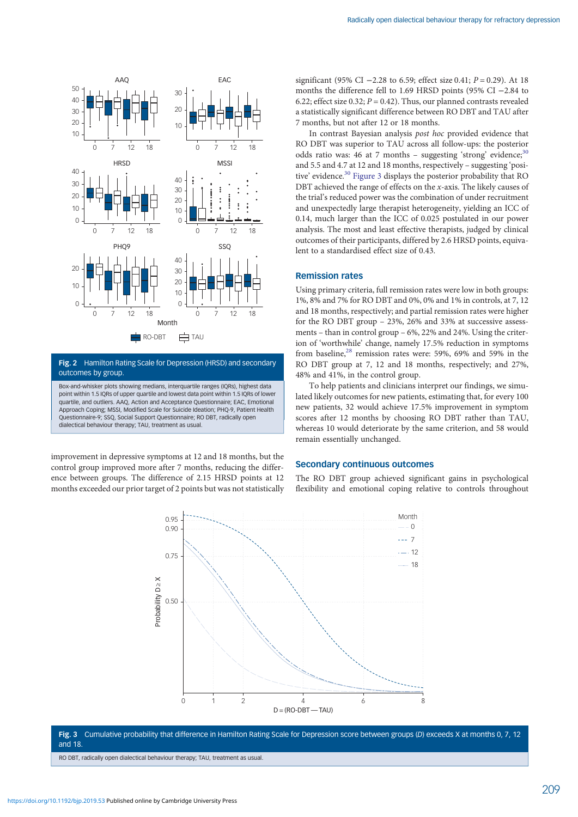<span id="page-5-0"></span>

Fig. 2 Hamilton Rating Scale for Depression (HRSD) and secondary outcomes by group.

Box-and-whisker plots showing medians, interquartile ranges (IQRs), highest data point within 1.5 IQRs of upper quartile and lowest data point within 1.5 IQRs of lower quartile, and outliers. AAQ, Action and Acceptance Questionnaire; EAC, Emotional Approach Coping; MSSI, Modified Scale for Suicide Ideation; PHQ-9, Patient Health Questionnaire-9; SSQ, Social Support Questionnaire; RO DBT, radically open dialectical behaviour therapy; TAU, treatment as usual.

improvement in depressive symptoms at 12 and 18 months, but the control group improved more after 7 months, reducing the difference between groups. The difference of 2.15 HRSD points at 12 months exceeded our prior target of 2 points but was not statistically

significant (95% CI –2.28 to 6.59; effect size 0.41;  $P = 0.29$ ). At 18 months the difference fell to 1.69 HRSD points (95% CI −2.84 to 6.22; effect size 0.32;  $P = 0.42$ ). Thus, our planned contrasts revealed a statistically significant difference between RO DBT and TAU after 7 months, but not after 12 or 18 months.

In contrast Bayesian analysis post hoc provided evidence that RO DBT was superior to TAU across all follow-ups: the posterior odds ratio was: 46 at 7 months – suggesting 'strong' evidence;<sup>[30](#page-8-0)</sup> and 5.5 and 4.7 at 12 and 18 months, respectively – suggesting 'posi-tive' evidence.<sup>[30](#page-8-0)</sup> Figure 3 displays the posterior probability that RO DBT achieved the range of effects on the  $x$ -axis. The likely causes of the trial's reduced power was the combination of under recruitment and unexpectedly large therapist heterogeneity, yielding an ICC of 0.14, much larger than the ICC of 0.025 postulated in our power analysis. The most and least effective therapists, judged by clinical outcomes of their participants, differed by 2.6 HRSD points, equivalent to a standardised effect size of 0.43.

# Remission rates

Using primary criteria, full remission rates were low in both groups: 1%, 8% and 7% for RO DBT and 0%, 0% and 1% in controls, at 7, 12 and 18 months, respectively; and partial remission rates were higher for the RO DBT group – 23%, 26% and 33% at successive assessments – than in control group – 6%, 22% and 24%. Using the criterion of 'worthwhile' change, namely 17.5% reduction in symptoms from baseline,<sup>28</sup> remission rates were: 59%, 69% and 59% in the RO DBT group at 7, 12 and 18 months, respectively; and 27%, 48% and 41%, in the control group.

To help patients and clinicians interpret our findings, we simulated likely outcomes for new patients, estimating that, for every 100 new patients, 32 would achieve 17.5% improvement in symptom scores after 12 months by choosing RO DBT rather than TAU, whereas 10 would deteriorate by the same criterion, and 58 would remain essentially unchanged.

## Secondary continuous outcomes

The RO DBT group achieved significant gains in psychological flexibility and emotional coping relative to controls throughout



# Fig. 3 Cumulative probability that difference in Hamilton Rating Scale for Depression score between groups (D) exceeds X at months 0, 7, 12 and 18.

RO DBT, radically open dialectical behaviour therapy; TAU, treatment as usual.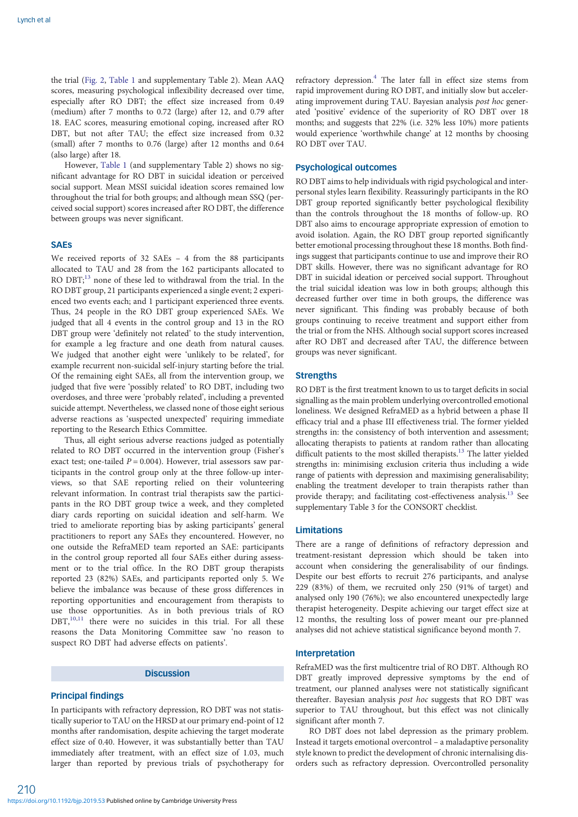the trial [\(Fig. 2](#page-5-0), [Table 1](#page-4-0) and supplementary Table 2). Mean AAQ scores, measuring psychological inflexibility decreased over time, especially after RO DBT; the effect size increased from 0.49 (medium) after 7 months to 0.72 (large) after 12, and 0.79 after 18. EAC scores, measuring emotional coping, increased after RO DBT, but not after TAU; the effect size increased from 0.32 (small) after 7 months to 0.76 (large) after 12 months and 0.64 (also large) after 18.

However, [Table 1](#page-4-0) (and supplementary Table 2) shows no significant advantage for RO DBT in suicidal ideation or perceived social support. Mean MSSI suicidal ideation scores remained low throughout the trial for both groups; and although mean SSQ (perceived social support) scores increased after RO DBT, the difference between groups was never significant.

#### SAEs

We received reports of 32 SAEs – 4 from the 88 participants allocated to TAU and 28 from the 162 participants allocated to RO DBT;<sup>[13](#page-7-0)</sup> none of these led to withdrawal from the trial. In the RO DBT group, 21 participants experienced a single event; 2 experienced two events each; and 1 participant experienced three events. Thus, 24 people in the RO DBT group experienced SAEs. We judged that all 4 events in the control group and 13 in the RO DBT group were 'definitely not related' to the study intervention, for example a leg fracture and one death from natural causes. We judged that another eight were 'unlikely to be related', for example recurrent non-suicidal self-injury starting before the trial. Of the remaining eight SAEs, all from the intervention group, we judged that five were 'possibly related' to RO DBT, including two overdoses, and three were 'probably related', including a prevented suicide attempt. Nevertheless, we classed none of those eight serious adverse reactions as 'suspected unexpected' requiring immediate reporting to the Research Ethics Committee.

Thus, all eight serious adverse reactions judged as potentially related to RO DBT occurred in the intervention group (Fisher's exact test; one-tailed  $P = 0.004$ ). However, trial assessors saw participants in the control group only at the three follow-up interviews, so that SAE reporting relied on their volunteering relevant information. In contrast trial therapists saw the participants in the RO DBT group twice a week, and they completed diary cards reporting on suicidal ideation and self-harm. We tried to ameliorate reporting bias by asking participants' general practitioners to report any SAEs they encountered. However, no one outside the RefraMED team reported an SAE: participants in the control group reported all four SAEs either during assessment or to the trial office. In the RO DBT group therapists reported 23 (82%) SAEs, and participants reported only 5. We believe the imbalance was because of these gross differences in reporting opportunities and encouragement from therapists to use those opportunities. As in both previous trials of RO  $DBT$ ,<sup>[10](#page-7-0),[11](#page-7-0)</sup> there were no suicides in this trial. For all these reasons the Data Monitoring Committee saw 'no reason to suspect RO DBT had adverse effects on patients'.

## **Discussion**

## Principal findings

In participants with refractory depression, RO DBT was not statistically superior to TAU on the HRSD at our primary end-point of 12 months after randomisation, despite achieving the target moderate effect size of 0.40. However, it was substantially better than TAU immediately after treatment, with an effect size of 1.03, much larger than reported by previous trials of psychotherapy for

refractory depression.<sup>[4](#page-7-0)</sup> The later fall in effect size stems from rapid improvement during RO DBT, and initially slow but accelerating improvement during TAU. Bayesian analysis post hoc generated 'positive' evidence of the superiority of RO DBT over 18 months; and suggests that 22% (i.e. 32% less 10%) more patients would experience 'worthwhile change' at 12 months by choosing RO DBT over TAU.

## Psychological outcomes

RO DBT aims to help individuals with rigid psychological and interpersonal styles learn flexibility. Reassuringly participants in the RO DBT group reported significantly better psychological flexibility than the controls throughout the 18 months of follow-up. RO DBT also aims to encourage appropriate expression of emotion to avoid isolation. Again, the RO DBT group reported significantly better emotional processing throughout these 18 months. Both findings suggest that participants continue to use and improve their RO DBT skills. However, there was no significant advantage for RO DBT in suicidal ideation or perceived social support. Throughout the trial suicidal ideation was low in both groups; although this decreased further over time in both groups, the difference was never significant. This finding was probably because of both groups continuing to receive treatment and support either from the trial or from the NHS. Although social support scores increased after RO DBT and decreased after TAU, the difference between groups was never significant.

## **Strengths**

RO DBT is the first treatment known to us to target deficits in social signalling as the main problem underlying overcontrolled emotional loneliness. We designed RefraMED as a hybrid between a phase II efficacy trial and a phase III effectiveness trial. The former yielded strengths in: the consistency of both intervention and assessment; allocating therapists to patients at random rather than allocating difficult patients to the most skilled therapists.<sup>13</sup> The latter yielded strengths in: minimising exclusion criteria thus including a wide range of patients with depression and maximising generalisability; enabling the treatment developer to train therapists rather than provide therapy; and facilitating cost-effectiveness analysis.<sup>13</sup> See supplementary Table 3 for the CONSORT checklist.

## Limitations

There are a range of definitions of refractory depression and treatment-resistant depression which should be taken into account when considering the generalisability of our findings. Despite our best efforts to recruit 276 participants, and analyse 229 (83%) of them, we recruited only 250 (91% of target) and analysed only 190 (76%); we also encountered unexpectedly large therapist heterogeneity. Despite achieving our target effect size at 12 months, the resulting loss of power meant our pre-planned analyses did not achieve statistical significance beyond month 7.

## Interpretation

RefraMED was the first multicentre trial of RO DBT. Although RO DBT greatly improved depressive symptoms by the end of treatment, our planned analyses were not statistically significant thereafter. Bayesian analysis post hoc suggests that RO DBT was superior to TAU throughout, but this effect was not clinically significant after month 7.

RO DBT does not label depression as the primary problem. Instead it targets emotional overcontrol – a maladaptive personality style known to predict the development of chronic internalising disorders such as refractory depression. Overcontrolled personality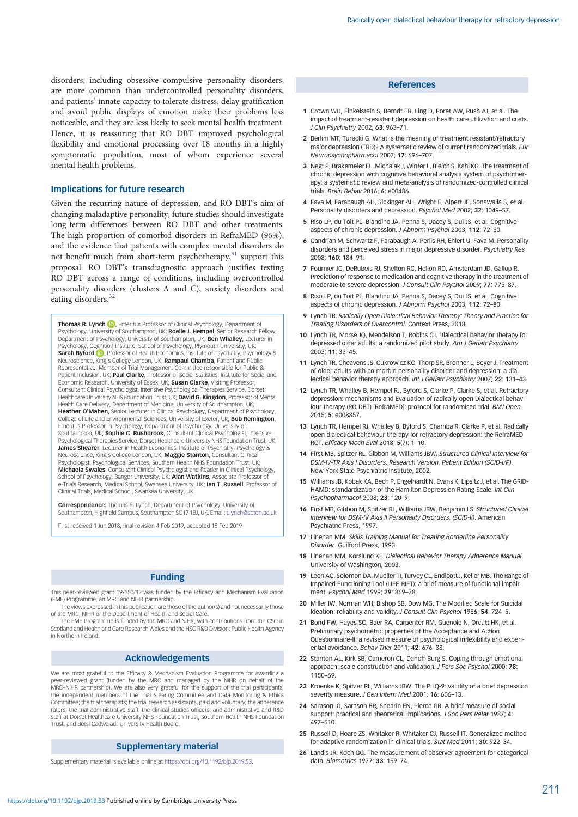<span id="page-7-0"></span>disorders, including obsessive–compulsive personality disorders, are more common than undercontrolled personality disorders; and patients' innate capacity to tolerate distress, delay gratification and avoid public displays of emotion make their problems less noticeable, and they are less likely to seek mental health treatment. Hence, it is reassuring that RO DBT improved psychological flexibility and emotional processing over 18 months in a highly symptomatic population, most of whom experience several mental health problems.

#### Implications for future research

Given the recurring nature of depression, and RO DBT's aim of changing maladaptive personality, future studies should investigate long-term differences between RO DBT and other treatments. The high proportion of comorbid disorders in RefraMED (96%), and the evidence that patients with complex mental disorders do not benefit much from short-term psychotherapy,<sup>31</sup> support this proposal. RO DBT's transdiagnostic approach justifies testing RO DBT across a range of conditions, including overcontrolled personality disorders (clusters A and C), anxiety disorders and eating disorders.<sup>[32](#page-8-0)</sup>

Thomas R. Lynch (D)[,](https://orcid.org/0000-0003-1270-6097) Emeritus Professor of Clinical Psychology, Department of Psychology, University of Southampton, UK; Roelie J. Hempel, Senior Research Fellow, Department of Psychology, University of Southampton, UK; Ben Whalley, Lecturer in Psychology, C[ogni](https://orcid.org/0000-0001-7084-1495)tion Institute, School of Psychology, Plymouth University, UK; Sarah Byford (D), Professor of Health Economics, Institute of Psychiatry, Psychology & Neuroscience, King's College London, UK; **Rampaul Chamba**, Patient and Public<br>Representative, Member of Trial Management Committee responsible for Public & Patient Inclusion, UK; Paul Clarke, Professor of Social Statistics, Institute for Social and Economic Research, University of Essex, UK; **Susan Clarke**, Visiting Professor,<br>Consultant Clinical Psychologist, Intensive Psychological Therapies Service, Dorset Healthcare University NHS Foundation Trust, UK; David G. Kingdon, Professor of Mental Health Care Delivery, Department of Medicine, University of Southampton, UK;<br>**Heather O'Mahen**, Senior Lecturer in Clinical Psychology, Department of Psychology, College of Life and Environmental Sciences, University of Exeter, UK; Bob Remington, Emeritus Professor in Psychology, Department of Psychology, University of<br>Southampton, UK; **Sophie C. Rushbrook**, Consultant Clinical Psychologist, Intensive Psychological Therapies Service, Dorset Healthcare University NHS Foundation Trust, UK; James Shearer, Lecturer in Health Economics, Institute of Psychiatry, Psychology & Neuroscience, King's College London, UK; Maggie Stanton, Consultant Clinical Psychologist, Psychological Services, Southern Health NHS Foundation Trust, UK; Michaela Swales, Consultant Clinical Psychologist and Reader in Clinical Psychology, School of Psychology, Bangor University, UK; Alan Watkins, Associate Professor of e-Trials Research, Medical School, Swansea University, UK; Ian T. Russell, Professor of Clinical Trials, Medical School, Swansea University, UK

Correspondence: Thomas R. Lynch, Department of Psychology, University of Southampton, Highfield Campus, Southampton SO17 1BJ, UK. Email: [t.lynch@soton.ac.uk](mailto:t.lynch@soton.ac.uk)

First received 1 Jun 2018, final revision 4 Feb 2019, accepted 15 Feb 2019

#### Funding

This peer-reviewed grant 09/150/12 was funded by the Efficacy and Mechanism Evaluation (EME) Programme, an MRC and NIHR partnership.

The views expressed in this publication are those of the author(s) and not necessarily those of the MRC, NIHR or the Department of Health and Social Care.

The EME Programme is funded by the MRC and NIHR, with contributions from the CSO in Scotland and Health and Care Research Wales and the HSC R&D Division, Public Health Agency in Northern Ireland.

#### Acknowledgements

We are most grateful to the Efficacy & Mechanism Evaluation Programme for awarding a peer-reviewed grant (funded by the MRC and managed by the NIHR on behalf of the MRC–NIHR partnership). We are also very grateful for the support of the trial participants; the independent members of the Trial Steering Committee and Data Monitoring & Ethics Committee; the trial therapists; the trial research assistants, paid and voluntary; the adherence raters; the trial administrative staff; the clinical studies officers; and administrative and R&D staff at Dorset Healthcare University NHS Foundation Trust, Southern Health NHS Foundation Trust, and Betsi Cadwaladr University Health Board.

# Supplementary material

Supplementary material is available online at <https://doi.org/10.1192/bjp.2019.53>.

#### References

- 1 Crown WH, Finkelstein S, Berndt ER, Ling D, Poret AW, Rush AJ, et al. The impact of treatment-resistant depression on health care utilization and costs. J Clin Psychiatry 2002; 63: 963–71.
- 2 Berlim MT, Turecki G. What is the meaning of treatment resistant/refractory major depression (TRD)? A systematic review of current randomized trials. Eur Neuropsychopharmacol 2007; 17: 696–707.
- 3 Negt P, Brakemeier EL, Michalak J, Winter L, Bleich S, Kahl KG. The treatment of chronic depression with cognitive behavioral analysis system of psychotherapy: a systematic review and meta-analysis of randomized-controlled clinical trials. Brain Behav 2016; 6: e00486.
- 4 Fava M, Farabaugh AH, Sickinger AH, Wright E, Alpert JE, Sonawalla S, et al. Personality disorders and depression. Psychol Med 2002; 32: 1049–57.
- 5 Riso LP, du Toit PL, Blandino JA, Penna S, Dacey S, Dui, JS, et al. Cognitive aspects of chronic depression. J Abnorm Psychol 2003; 112: 72–80.
- 6 Candrian M, Schwartz F, Farabaugh A, Perlis RH, Ehlert U, Fava M. Personality disorders and perceived stress in major depressive disorder. Psychiatry Res 2008; 160: 184–91.
- 7 Fournier JC, DeRubeis RJ, Shelton RC, Hollon RD, Amsterdam JD, Gallop R. Prediction of response to medication and cognitive therapy in the treatment of moderate to severe depression. J Consult Clin Psychol 2009; 77: 775–87.
- 8 Riso LP, du Toit PL, Blandino JA, Penna S, Dacey S, Dui JS, et al. Cognitive aspects of chronic depression. J Abnorm Psychol 2003; 112: 72–80.
- 9 Lynch TR. Radically Open Dialectical Behavior Therapy: Theory and Practice for Treating Disorders of Overcontrol. Context Press, 2018.
- 10 Lynch TR, Morse JQ, Mendelson T, Robins CJ. Dialectical behavior therapy for depressed older adults: a randomized pilot study. Am J Geriatr Psychiatry 2003; 11: 33–45.
- 11 Lynch TR, Cheavens JS, Cukrowicz KC, Thorp SR, Bronner L, Beyer J. Treatment of older adults with co-morbid personality disorder and depression: a dialectical behavior therapy approach. Int J Geriatr Psychiatry 2007; 22: 131–43.
- 12 Lynch TR, Whalley B, Hempel RJ, Byford S, Clarke P, Clarke S, et al. Refractory depression: mechanisms and Evaluation of radically open Dialectical behaviour therapy (RO-DBT) [RefraMED]: protocol for randomised trial. BMJ Open 2015; 5: e008857.
- 13 Lynch TR, Hempel RJ, Whalley B, Byford S, Chamba R, Clarke P, et al. Radically open dialectical behaviour therapy for refractory depression: the RefraMED RCT. Efficacy Mech Eval 2018; 5(7): 1–10.
- 14 First MB, Spitzer RL, Gibbon M, Williams JBW, Structured Clinical Interview for DSM-IV-TR Axis I Disorders, Research Version, Patient Edition (SCID-I/P). New York State Psychiatric Institute, 2002.
- 15 Williams JB, Kobak KA, Bech P, Engelhardt N, Evans K, Lipsitz J, et al. The GRID-HAMD: standardization of the Hamilton Depression Rating Scale. Int Clin Psychopharmacol 2008; 23: 120–9.
- 16 First MB, Gibbon M, Spitzer RL, Williams JBW, Benjamin LS. Structured Clinical Interview for DSM-IV Axis II Personality Disorders, (SCID-II). American Psychiatric Press, 1997.
- 17 Linehan MM. Skills Training Manual for Treating Borderline Personality Disorder. Guilford Press, 1993.
- 18 Linehan MM, Korslund KE. Dialectical Behavior Therapy Adherence Manual. University of Washington, 2003.
- 19 Leon AC, Solomon DA, Mueller TI, Turvey CL, Endicott J, Keller MB. The Range of Impaired Functioning Tool (LIFE-RIFT): a brief measure of functional impairment. Psychol Med 1999; 29: 869-78.
- 20 Miller IW, Norman WH, Bishop SB, Dow MG. The Modified Scale for Suicidal Ideation: reliability and validity. J Consult Clin Psychol 1986; 54: 724-5.
- 21 Bond FW, Hayes SC, Baer RA, Carpenter RM, Guenole N, Orcutt HK, et al. Preliminary psychometric properties of the Acceptance and Action Questionnaire-II: a revised measure of psychological inflexibility and experiential avoidance. Behav Ther 2011; 42: 676–88.
- 22 Stanton AL, Kirk SB, Cameron CL, Danoff-Burg S. Coping through emotional approach: scale construction and validation. J Pers Soc Psychol 2000; 78: 1150–69.
- 23 Kroenke K, Spitzer RL, Williams JBW. The PHQ-9: validity of a brief depression severity measure. J Gen Intern Med 2001; 16: 606–13.
- 24. Sarason IG, Sarason BR, Shearin EN, Pierce GR, A brief measure of social support: practical and theoretical implications. *J Soc Pers Relat* 1987; **4:** 497–510.
- 25 Russell D, Hoare ZS, Whitaker R, Whitaker CJ, Russell IT, Generalized method for adaptive randomization in clinical trials. Stat Med 2011; 30: 922–34.
- 26 Landis JR, Koch GG. The measurement of observer agreement for categorical data. Biometrics 1977; 33: 159–74.